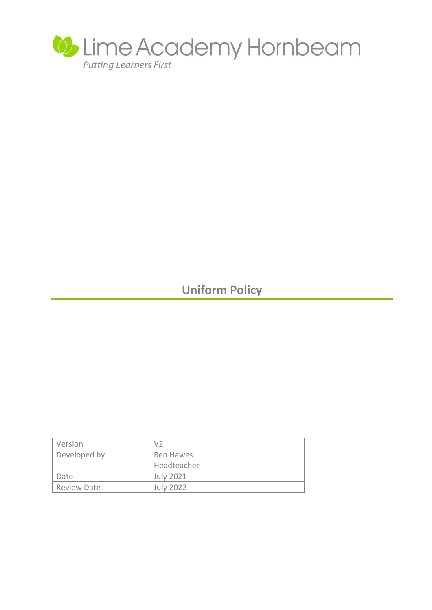

# **Uniform Policy**

| Version            | V <sub>2</sub>   |
|--------------------|------------------|
| Developed by       | Ben Hawes        |
|                    | Headteacher      |
| Date               | <b>July 2021</b> |
| <b>Review Date</b> | <b>July 2022</b> |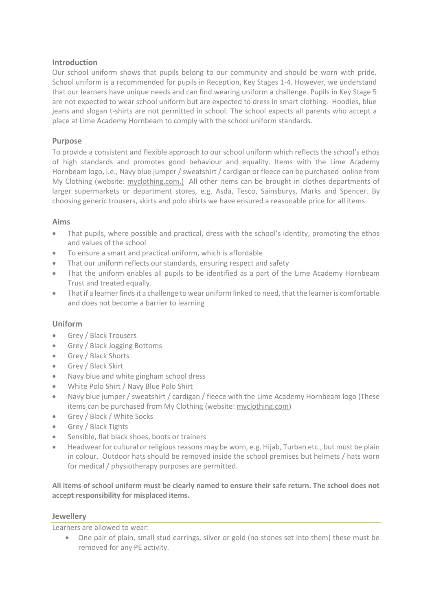## **Introduction**

Our school uniform shows that pupils belong to our community and should be worn with pride. School uniform is a recommended for pupils in Reception, Key Stages 1-4. However, we understand that our learners have unique needs and can find wearing uniform a challenge. Pupils in Key Stage 5 are not expected to wear school uniform but are expected to dress in smart clothing. Hoodies, blue jeans and slogan t-shirts are not permitted in school. The school expects all parents who accept a place at Lime Academy Hornbeam to comply with the school uniform standards.

## **Purpose**

To provide a consistent and flexible approach to our school uniform which reflects the school's ethos of high standards and promotes good behaviour and equality. Items with the Lime Academy Hornbeam logo, i.e., Navy blue jumper / sweatshirt / cardigan or fleece can be purchased online from My Clothing (website: [myclothing.com.\)](http://www.tesco.com/clothing) All other items can be brought in clothes departments of larger supermarkets or department stores, e.g. Asda, Tesco, Sainsburys, Marks and Spencer. By choosing generic trousers, skirts and polo shirts we have ensured a reasonable price for all items.

### **Aims**

- That pupils, where possible and practical, dress with the school's identity, promoting the ethos and values of the school
- To ensure a smart and practical uniform, which is affordable
- That our uniform reflects our standards, ensuring respect and safety
- That the uniform enables all pupils to be identified as a part of the Lime Academy Hornbeam Trust and treated equally.
- That if a learner finds it a challenge to wear uniform linked to need, that the learner is comfortable and does not become a barrier to learning

### **Uniform**

- Grey / Black Trousers
- Grey / Black Jogging Bottoms
- Grey / Black Shorts
- Grey / Black Skirt
- Navy blue and white gingham school dress
- White Polo Shirt / Navy Blue Polo Shirt
- Navy blue jumper / sweatshirt / cardigan / fleece with the Lime Academy Hornbeam logo (These items can be purchased from My Clothing (website: [myclothing.com\)](http://www.tesco.com/clothing)
- Grey / Black / White Socks
- Grey / Black Tights
- Sensible, flat black shoes, boots or trainers
- Headwear for cultural or religious reasons may be worn, e.g. Hijab, Turban etc., but must be plain in colour. Outdoor hats should be removed inside the school premises but helmets / hats worn for medical / physiotherapy purposes are permitted.

**All items of school uniform must be clearly named to ensure their safe return. The school does not accept responsibility for misplaced items.**

### **Jewellery**

Learners are allowed to wear:

 One pair of plain, small stud earrings, silver or gold (no stones set into them) these must be removed for any PE activity.